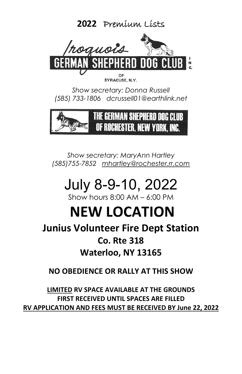**2022** Premium Lists



*Show secretary: Donna Russell (585) 733-1806 dcrussell01@earthlink.net*



*Show secretary: MaryAnn Hartley (585)755-7852 mhartley@rochester.rr.com*

## July 8-9-10, 2022

Show hours 8:00 AM – 6:00 PM

# **NEW LOCATION**

**Junius Volunteer Fire Dept Station Co. Rte 318 Waterloo, NY 13165**

**NO OBEDIENCE OR RALLY AT THIS SHOW**

**LIMITED RV SPACE AVAILABLE AT THE GROUNDS FIRST RECEIVED UNTIL SPACES ARE FILLED RV APPLICATION AND FEES MUST BE RECEIVED BY June 22, 2022**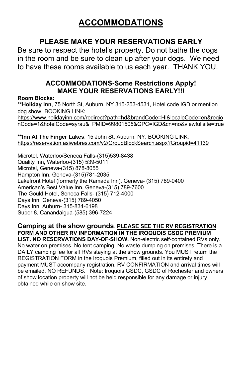## **ACCOMMODATIONS**

## **PLEASE MAKE YOUR RESERVATIONS EARLY**

Be sure to respect the hotel's property. Do not bathe the dogs in the room and be sure to clean up after your dogs. We need to have these rooms available to us each year. THANK YOU.

## **ACCOMMODATIONS-Some Restrictions Apply! MAKE YOUR RESERVATIONS EARLY!!!**

#### **Room Blocks:**

**\*\*Holiday Inn**, 75 North St, Auburn, NY 315-253-4531, Hotel code IGD or mention dog show. BOOKING LINK:

https://www.holidayinn.com/redirect?path=hd&brandCode=HI&localeCode=en&regio nCode=1&hotelCode=syrau&\_PMID=99801505&GPC=IGD&cn=no&viewfullsite=true

**\*\*Inn At The Finger Lakes**, 15 John St, Auburn, NY, BOOKING LINK: https://reservation.asiwebres.com/v2/GroupBlockSearch.aspx?Groupid=41139

Microtel, Waterloo/Seneca Falls-(315)539-8438 Quality Inn, Waterloo-(315) 539-5011 Microtel, Geneva-(315) 878-8055 Hampton Inn, Geneva-(315)781-2035 Lakefront Hotel (formerly the Ramada Inn), Geneva- (315) 789-0400 American's Best Value Inn, Geneva-(315) 789-7600 The Gould Hotel, Seneca Falls- (315) 712-4000 Days Inn, Geneva-(315) 789-4050 Days Inn, Auburn- 315-834-6198 Super 8, Canandaigua-(585) 396-7224

### **Camping at the show grounds**. **PLEASE SEE THE RV REGISTRATION FORM AND OTHER RV INFORMATION IN THE IROQUOIS GSDC PREMIUM**

**LIST. NO RESERVATIONS DAY-OF-SHOW.** Non-electric self-contained RVs only. No water on premises. No tent camping. No waste dumping on premises. There is a DAILY camping fee for all RVs staying at the show grounds. You MUST return the REGISTRATION FORM in the Iroquois Premium, filled out in its entirety and payment MUST accompany registration. RV CONFIRMATION and arrival times will be emailed. NO REFUNDS. Note: Iroquois GSDC, GSDC of Rochester and owners of show location property will not be held responsible for any damage or injury obtained while on show site.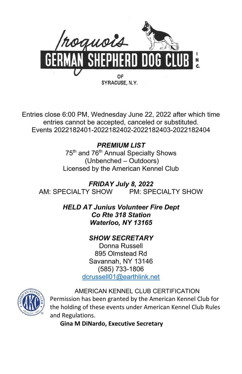

Entries close 6:00 PM, Wednesday June 22, 2022 after which time entries cannot be accepted, canceled or substituted. Events 2022182401-2022182402-2022182403-2022182404

## *PREMIUM LIST* 75<sup>th</sup> and 76<sup>th</sup> Annual Specialty Shows

(Unbenched – Outdoors) Licensed by the American Kennel Club

*FRIDAY July 8, 2022* AM: SPECIALTY SHOW PM: SPECIALTY SHOW

> *HELD AT Junius Volunteer Fire Dept Co Rte 318 Station Waterloo, NY 13165*

## *SHOW SECRETARY*

Donna Russell 895 Olmstead Rd Savannah, NY 13146 (585) 733-1806 dcrussell01@earthlink.net



AMERICAN KENNEL CLUB CERTIFICATION Permission has been granted by the American Kennel Club for the holding of these events under American Kennel Club Rules and Regulations.

**Gina M DiNardo, Executive Secretary**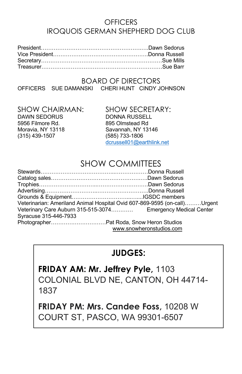## **OFFICERS** IROQUOIS GERMAN SHEPHERD DOG CLUB

#### BOARD OF DIRECTORS OFFICERS SUE DAMANSKI CHERI HUNT CINDY JOHNSON

SHOW CHAIRMAN: SHOW SECRETARY:<br>DAWN SEDORUS DONNA RUSSELL 5956 Filmore Rd. 895 Olmstead Rd Moravia, NY 13118 Savannah, NY 13146 (315) 439-1507 (585) 733-1806

DONNA RUSSELL dcrussell01@earthlink.net

## SHOW COMMITTEES

|                       | Veterinarian: Ameriland Animal Hospital Ovid 607-869-9595 (on-call)Urgent |
|-----------------------|---------------------------------------------------------------------------|
|                       |                                                                           |
| Syracuse 315-446-7933 |                                                                           |
|                       |                                                                           |
|                       | www.snowheronstudios.com                                                  |

## **JUDGES:**

**FRIDAY AM: Mr. Jeffrey Pyle,** 1103 COLONIAL BLVD NE, CANTON, OH 44714- 1837

**FRIDAY PM: Mrs. Candee Foss,** 10208 W COURT ST, PASCO, WA 99301-6507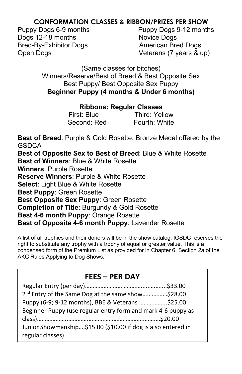### **CONFORMATION CLASSES & RIBBON/PRIZES PER SHOW**

Dogs 12-18 months Novice Dogs Bred-By-Exhibitor Dogs **American Bred Dogs** Open Dogs Veterans (7 years & up)

Puppy Dogs 6-9 months Puppy Dogs 9-12 months

(Same classes for bitches) Winners/Reserve/Best of Breed & Best Opposite Sex Best Puppy/ Best Opposite Sex Puppy **Beginner Puppy (4 months & Under 6 months)**

#### **Ribbons: Regular Classes**

First: Blue Third: Yellow Second: Red Fourth: White

**Best of Breed**: Purple & Gold Rosette, Bronze Medal offered by the GSDCA **Best of Opposite Sex to Best of Breed**: Blue & White Rosette **Best of Winners**: Blue & White Rosette **Winners**: Purple Rosette **Reserve Winners**: Purple & White Rosette **Select**: Light Blue & White Rosette **Best Puppy**: Green Rosette **Best Opposite Sex Puppy**: Green Rosette **Completion of Title**: Burgundy & Gold Rosette **Best 4-6 month Puppy**: Orange Rosette **Best of Opposite 4-6 month Puppy**: Lavender Rosette

A list of all trophies and their donors will be in the show catalog. IGSDC reserves the right to substitute any trophy with a trophy of equal or greater value. This is a condensed form of the Premium List as provided for in Chapter 6, Section 2a of the AKC Rules Applying to Dog Shows.

## **FEES – PER DAY** Regular Entry (per day)……………………………….....….…....\$33.00 2<sup>nd</sup> Entry of the Same Dog at the same show................\$28.00 Puppy (6-9; 9-12 months), BBE & Veterans ……………...\$25.00 Beginner Puppy (use regular entry form and mark 4-6 puppy as class)………………..………….……….……………………..…….…\$20.00 Junior Showmanship….\$15.00 (\$10.00 if dog is also entered in regular classes)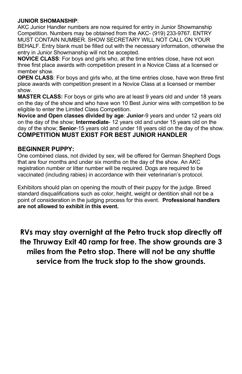#### **JUNIOR SHOMANSHIP**:

AKC Junior Handler numbers are now required for entry in Junior Showmanship Competition. Numbers may be obtained from the AKC- (919) 233-9767. ENTRY MUST CONTAIN NUMBER. SHOW SECRETARY WILL NOT CALL ON YOUR BEHALF. Entry blank must be filled out with the necessary information, otherwise the entry in Junior Showmanship will not be accepted.

**NOVICE CLASS**: For boys and girls who, at the time entries close, have not won three first place awards with competition present in a Novice Class at a licensed or member show.

**OPEN CLASS**: For boys and girls who, at the time entries close, have won three first place awards with competition present in a Novice Class at a licensed or member show.

**MASTER CLASS:** For boys or girls who are at least 9 years old and under 18 years on the day of the show and who have won 10 Best Junior wins with competition to be eligible to enter the Limited Class Competition.

**Novice and Open classes divided by age**: **Junior**-9 years and under 12 years old on the day of the show; **Intermediate**- 12 years old and under 15 years old on the day of the show; **Senior**-15 years old and under 18 years old on the day of the show. **COMPETITION MUST EXIST FOR BEST JUNIOR HANDLER**

#### **BEGINNER PUPPY:**

One combined class, not divided by sex, will be offered for German Shepherd Dogs that are four months and under six months on the day of the show. An AKC registration number or litter number will be required. Dogs are required to be vaccinated (including rabies) in accordance with their veterinarian's protocol.

Exhibitors should plan on opening the mouth of their puppy for the judge. Breed standard disqualifications such as color, height, weight or dentition shall not be a point of consideration in the judging process for this event. **Professional handlers are not allowed to exhibit in this event.**

**RVs may stay overnight at the Petro truck stop directly off the Thruway Exit 40 ramp for free. The show grounds are 3 miles from the Petro stop. There will not be any shuttle service from the truck stop to the show grounds.**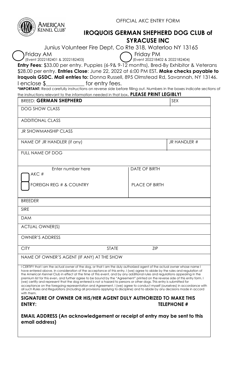| American                                                                                                                                                                                                                                                 | OFFICIAL AKC ENTRY FORM                     |                    |
|----------------------------------------------------------------------------------------------------------------------------------------------------------------------------------------------------------------------------------------------------------|---------------------------------------------|--------------------|
| Kennel Club®                                                                                                                                                                                                                                             | <b>IROQUOIS GERMAN SHEPHERD DOG CLUB of</b> |                    |
|                                                                                                                                                                                                                                                          | <b>SYRACUSE INC</b>                         |                    |
| Junius Volunteer Fire Dept, Co Rte 318, Waterloo NY 13165                                                                                                                                                                                                |                                             |                    |
| Friday AM                                                                                                                                                                                                                                                | Friday PM                                   |                    |
| (Event 2022182401 & 2022182403)                                                                                                                                                                                                                          | (Event 202218402 & 2022182404)              |                    |
| Entry Fees: \$33.00 per entry. Puppies (6-9& 9-12 months), Bred-By Exhibitor & Veterans<br>\$28.00 per entry. <b>Entries Close</b> : June 22, 2022 at 6:00 PM EST. Make checks payable to                                                                |                                             |                    |
| Iroquois GSDC. Mail entries to: Donna Russell, 895 Olmstead Rd, Savannah, NY 13146.                                                                                                                                                                      |                                             |                    |
| _ for entry fees.<br>l enclose \$                                                                                                                                                                                                                        |                                             |                    |
| *IMPORTANT: Read carefully instructions on reverse side before filling out. Numbers in the boxes indicate sections of<br>the instructions relevant to the information needed in that box. PLEASE PRINT LEGIBLY!                                          |                                             |                    |
| <b>BREED: GERMAN SHEPHERD</b>                                                                                                                                                                                                                            |                                             | <b>SEX</b>         |
| <b>DOG SHOW CLASS</b>                                                                                                                                                                                                                                    |                                             |                    |
|                                                                                                                                                                                                                                                          |                                             |                    |
| <b>ADDITIONAL CLASS</b>                                                                                                                                                                                                                                  |                                             |                    |
| <b>JR SHOWMANSHIP CLASS</b>                                                                                                                                                                                                                              |                                             |                    |
|                                                                                                                                                                                                                                                          |                                             |                    |
| NAME OF JR HANDLER (if any)                                                                                                                                                                                                                              |                                             | JR HANDLER #       |
| FULL NAME OF DOG                                                                                                                                                                                                                                         |                                             |                    |
|                                                                                                                                                                                                                                                          |                                             |                    |
| Enter number here                                                                                                                                                                                                                                        | <b>DATE OF BIRTH</b>                        |                    |
| AKC#                                                                                                                                                                                                                                                     |                                             |                    |
| FOREIGN REG # & COUNTRY                                                                                                                                                                                                                                  | <b>PLACE OF BIRTH</b>                       |                    |
|                                                                                                                                                                                                                                                          |                                             |                    |
| <b>BREEDER</b>                                                                                                                                                                                                                                           |                                             |                    |
| <b>SIRE</b>                                                                                                                                                                                                                                              |                                             |                    |
|                                                                                                                                                                                                                                                          |                                             |                    |
| <b>DAM</b>                                                                                                                                                                                                                                               |                                             |                    |
| <b>ACTUAL OWNER(S)</b>                                                                                                                                                                                                                                   |                                             |                    |
| <b>OWNER'S ADDRESS</b>                                                                                                                                                                                                                                   |                                             |                    |
|                                                                                                                                                                                                                                                          |                                             |                    |
| <b>CITY</b><br><b>STATE</b>                                                                                                                                                                                                                              | ZIP                                         |                    |
| NAME OF OWNER'S AGENT (IF ANY) AT THE SHOW                                                                                                                                                                                                               |                                             |                    |
| I CERTIFY that I am the actual owner of the dog, or that I am the duly authorized agent of the actual owner whose name I<br>have entered above. In consideration of the acceptance of this entry, I (we) agree to abide by the rules and regulation of   |                                             |                    |
| the American Kennel Club in effect at the time of this event, and by any additional rules and regulations appearing in the                                                                                                                               |                                             |                    |
| premium list for this even, and further agree to be bound by the "Agreement" printed on the reverse side of this entry form. I<br>(we) certify and represent that the dog entered is not a hazard to persons or other dogs. This entry is submitted for  |                                             |                    |
| acceptance on the foregoing representation and Agreement. I (we) agree to conduct myself (ourselves) in accordance with<br>all such Rules and Regulations (including all provisions applying to discipline) and to abide by any decisions made in accord |                                             |                    |
| with them.<br>SIGNATURE OF OWNER OR HIS/HER AGENT DULY AUTHORIZED TO MAKE THIS                                                                                                                                                                           |                                             |                    |
| ENTRY:                                                                                                                                                                                                                                                   |                                             | <b>TELEPHONE #</b> |
|                                                                                                                                                                                                                                                          |                                             |                    |
| <b>EMAIL ADDRESS (An acknowledgement or receipt of entry may be sent to this</b>                                                                                                                                                                         |                                             |                    |
| email address)                                                                                                                                                                                                                                           |                                             |                    |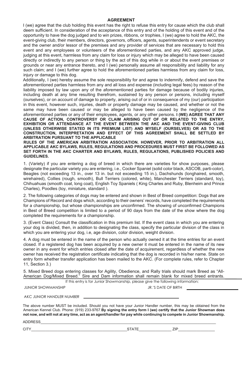#### **AGREEMENT**

I (we) agree that the club holding this event has the right to refuse this entry for cause which the club shall deem sufficient. In consideration of the acceptance of this entry and of the holding of this event and of the opportunity to have the dog judged and to win prizes, ribbons, or trophies, I (we) agree to hold the AKC, the event-giving club, their members, directors, governors, officers, agents, superintendents or event secretary and the owner and/or lessor of the premises and any provider of services that are necessary to hold this event and any employees or volunteers of the aforementioned parties, and any AKC approved judge, judging at this event, harmless from any claim for loss or injury which may be alleged to have been caused directly or indirectly to any person or thing by the act of this dog while in or about the event premises or grounds or near any entrance thereto, and I (we) personally assume all responsibility and liability for any such claim; and I (we) further agree to hold the aforementioned parties harmless from any claim for loss, injury or damage to this dog.

Additionally, I (we) hereby assume the sole responsibility for and agree to indemnify, defend and save the aforementioned parties harmless from any and all loss and expense (including legal fees) by reason of the liability imposed by law upon any of the aforementioned parties for damage because of bodily injuries, including death at any time resulting therefrom, sustained by any person or persons, including myself (ourselves), or on account of damage to property, arising out of or in consequence of my (our) participation in this event, however such, injuries, death or property damage may be caused, and whether or not the same may have been caused or may be alleged to have been caused by the negligence of the aforementioned parties or any of their employees, agents, or any other persons. **I (WE) AGREE THAT ANY CAUSE OF ACTION, CONTROVERSY OR CLAIM ARISING OUT OF OR RELATED TO THE ENTRY, EXHIBITION OR ATTENDANCE AT THE EVENT BETWEEN THE AKC AND THE EVENT-GIVING CLUB (UNLESS OTHERWISE STATED IN ITS PREMIUM LIST) AND MYSELF (OURSELVES) OR AS TO THE CONSTRUCTION, INTERPRETATION AND EFFECT OF THIS AGREEMENT SHALL BE SETTLED BY ARBITRATION PURSUANT TO THE APPLICABLE** 

**RULES OF THE AMERICAN ARBITRATION ASSOCIATION. HOWEVER, PRIOR TO ARBITRATION ALL APPLICABLE AKC BYLAWS, RULES, REGULATIONS AND PROCEDURES MUST FIRST BE FOLLOWED AS SET FORTH IN THE AKC CHARTER AND BYLAWS, RULES, REGULATIONS, PUBLISHED POLICIES AND GUIDELINES.**

1. (Variety) if you are entering a dog of breed in which there are varieties for show purposes, please designate the particular variety you are entering, i.e., Cocker Spaniel (solid color black, ASCOB, parti-color), Beagles (not exceeding 13 in., over 13 in. but not exceeding 15 in.), Dachshunds (longhaired, smooth, wirehaired), Collies (rough, smooth), Bull Terriers (colored, white), Manchester Terriers (standard, toy), Chihuahuas (smooth coat, long coat), English Toy Spaniels ( King Charles and Ruby, Blenheim and Prince Charles), Poodles (toy, miniature, standard ).

2. The following categories of dogs may be entered and shown in Best of Breed competition: Dogs that are Champions of Record and dogs which, according to their owners' records, have completed the requirements for a championship, but whose championships are unconfirmed. The showing of unconfirmed Champions in Best of Breed competition is limited to a period of 90 days from the date of the show where the dog completed the requirements for a championship.

3. (Event Class) Consult the classification in this premium list. If the event class in which you are entering your dog is divided, then, in addition to designating the class, specify the particular division of the class in which you are entering your dog, i.e, age division, color division, weight division.

4. A dog must be entered in the name of the person who actually owned it at the time entries for an event closed. If a registered dog has been acquired by a new owner it must be entered in the name of its new owner in any event for which entries closed after the date of acquirement, regardless of whether the new owner has received the registration certificate indicating that the dog is recorded in his/her name. State on entry form whether transfer application has been mailed to the AKC. (For complete rules, refer to Chapter 11, Section 3.)

5. Mixed Breed dogs entering classes for Agility, Obedience, and Rally trials should mark Breed as "All-American Dog/Mixed Breed." Sire and Dam information shall remain blank for mixed breed entrants.

If this entry is for Junior Showmanship, please give the following information:

JUNIOR SHOWMANSHIP

JR.'S DATE OF BIRTH

AKC JUNIOR HANDLER NUMBER

The above number MUST be included. Should you not have your Junior Handler number, this may be obtained from the American Kennel Club. Phone: (919) 233-9767.**By signing the entry form I (we) certify that the Junior Showman does not now, and will not at any time, act as an agent/handler for pay while continuing to compete in Junior Showmanship.**

 $\Delta \text{DDRESS}$  and the contract of the contract of the contract of the contract of the contract of the contract of the contract of the contract of the contract of the contract of the contract of the contract of the contract of

CITY\_\_\_\_\_\_\_\_\_\_\_\_\_\_\_\_\_\_\_\_\_\_\_\_\_\_\_\_\_\_\_\_\_\_\_\_\_\_\_\_\_\_\_\_\_\_\_STATE\_\_\_\_\_\_\_\_\_\_\_\_\_\_\_\_ ZIP\_\_\_\_\_\_\_\_\_\_\_\_\_\_\_\_\_\_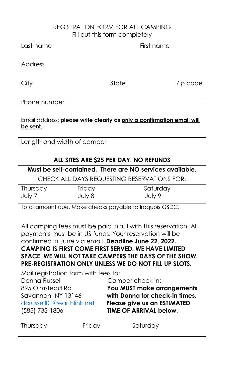| <b>REGISTRATION FORM FOR ALL CAMPING</b><br>Fill out this form completely                                                                                                                                                                                                                                                                                          |                                                         |                                                                                                                                                              |          |  |  |
|--------------------------------------------------------------------------------------------------------------------------------------------------------------------------------------------------------------------------------------------------------------------------------------------------------------------------------------------------------------------|---------------------------------------------------------|--------------------------------------------------------------------------------------------------------------------------------------------------------------|----------|--|--|
| Last name                                                                                                                                                                                                                                                                                                                                                          |                                                         | First name                                                                                                                                                   |          |  |  |
| <b>Address</b>                                                                                                                                                                                                                                                                                                                                                     |                                                         |                                                                                                                                                              |          |  |  |
| City                                                                                                                                                                                                                                                                                                                                                               |                                                         | State                                                                                                                                                        | Zip code |  |  |
| Phone number                                                                                                                                                                                                                                                                                                                                                       |                                                         |                                                                                                                                                              |          |  |  |
| Email address: please write clearly as only a confirmation email will<br>be sent.                                                                                                                                                                                                                                                                                  |                                                         |                                                                                                                                                              |          |  |  |
| Length and width of camper                                                                                                                                                                                                                                                                                                                                         |                                                         |                                                                                                                                                              |          |  |  |
|                                                                                                                                                                                                                                                                                                                                                                    |                                                         | ALL SITES ARE \$25 PER DAY. NO REFUNDS                                                                                                                       |          |  |  |
|                                                                                                                                                                                                                                                                                                                                                                    |                                                         | Must be self-contained. There are NO services available.                                                                                                     |          |  |  |
|                                                                                                                                                                                                                                                                                                                                                                    |                                                         | CHECK ALL DAYS REQUESTING RESERVATIONS FOR:                                                                                                                  |          |  |  |
| Thursday<br>July 7                                                                                                                                                                                                                                                                                                                                                 | Friday<br>July 8                                        | Saturday<br>July 9                                                                                                                                           |          |  |  |
|                                                                                                                                                                                                                                                                                                                                                                    | Total amount due. Make checks payable to Iroquois GSDC. |                                                                                                                                                              |          |  |  |
| All camping fees must be paid in full with this reservation. All<br>payments must be in US funds. Your reservation will be<br>confirmed in June via email. Deadline June 22, 2022.<br><b>CAMPING IS FIRST COME FIRST SERVED. WE HAVE LIMITED</b><br>SPACE. WE WILL NOT TAKE CAMPERS THE DAYS OF THE SHOW.<br>PRE-REGISTRATION ONLY UNLESS WE DO NOT FILL UP SLOTS. |                                                         |                                                                                                                                                              |          |  |  |
| Mail registration form with fees to:<br>Donna Russell<br>895 Olmstead Rd<br>Savannah, NY 13146<br>dcrussell01@earthlink.net<br>(585) 733-1806<br>Thursday                                                                                                                                                                                                          | Friday                                                  | Camper check-in:<br>You MUST make arrangements<br>with Donna for check-in times.<br>Please give us an ESTIMATED<br><b>TIME OF ARRIVAL below.</b><br>Saturday |          |  |  |